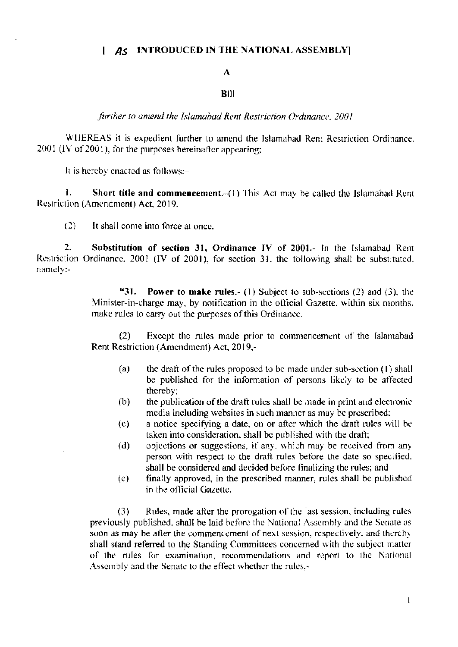## | AS INTRODUCED IN THE NATIONAL ASSEMBLY!

## $\mathbf{A}$

## **Bill**

further to amend the Islamabad Rent Restriction Ordinance, 2001

WHEREAS it is expedient further to amend the Islamabad Rent Restriction Ordinance. 2001 (IV of 2001), for the purposes hereinafter appearing;

It is hereby enacted as follows:-

1. Short title and commencement.-(1) This Act may be called the Islamabad Rent Restriction (Amendment) Act, 2019,

 $(2)$ It shall come into force at once.

 $2<sub>1</sub>$ Substitution of section 31, Ordinance IV of 2001.- In the Islamabad Rent Restriction Ordinance, 2001 (IV of 2001), for section 31, the following shall be substituted. namely:-

> "31. **Power to make rules.**- (1) Subject to sub-sections (2) and (3), the Minister-in-charge may, by notification in the official Gazette, within six months, make rules to carry out the purposes of this Ordinance.

> Except the rules made prior to commencement of the Islamabad  $(2)$ Rent Restriction (Amendment) Act, 2019,-

- the draft of the rules proposed to be made under sub-section (1) shall  $(a)$ be published for the information of persons likely to be affected thereby:
- the publication of the draft rules shall be made in print and electronic  $(b)$ media including websites in such manner as may be prescribed;
- a notice specifying a date, on or after which the draft rules will be  $(c)$ taken into consideration, shall be published with the draft;
- $(d)$ objections or suggestions, if any, which may be received from any person with respect to the draft rules before the date so specified. shall be considered and decided before finalizing the rules; and
- finally approved, in the prescribed manner, rules shall be published  $(e)$ in the official Gazette.

 $(3)$ Rules, made after the prorogation of the last session, including rules previously published, shall be laid before the National Assembly and the Senate as soon as may be after the commencement of next session, respectively, and thereby shall stand referred to the Standing Committees concerned with the subject matter of the rules for examination, recommendations and report to the National Assembly and the Senate to the effect whether the rules,-